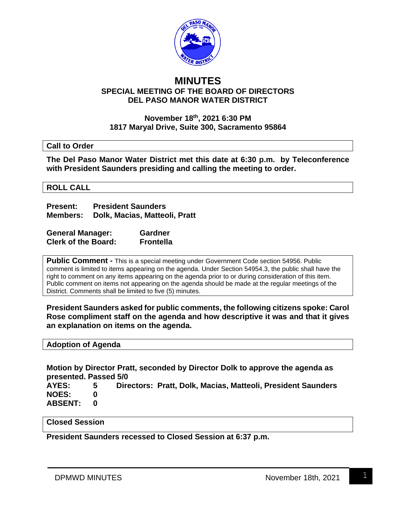

# **MINUTES**

## **SPECIAL MEETING OF THE BOARD OF DIRECTORS DEL PASO MANOR WATER DISTRICT**

# **November 18th, 2021 6:30 PM 1817 Maryal Drive, Suite 300, Sacramento 95864**

## **Call to Order**

**The Del Paso Manor Water District met this date at 6:30 p.m. by Teleconference with President Saunders presiding and calling the meeting to order.**

## **ROLL CALL**

**Present: President Saunders Members: Dolk, Macias, Matteoli, Pratt**

| <b>General Manager:</b>    | <b>Gardner</b>   |
|----------------------------|------------------|
| <b>Clerk of the Board:</b> | <b>Frontella</b> |

**Public Comment -** This is a special meeting under Government Code section 54956. Public comment is limited to items appearing on the agenda. Under Section 54954.3, the public shall have the right to comment on any items appearing on the agenda prior to or during consideration of this item. Public comment on items not appearing on the agenda should be made at the regular meetings of the District. Comments shall be limited to five (5) minutes.

**President Saunders asked for public comments, the following citizens spoke: Carol Rose compliment staff on the agenda and how descriptive it was and that it gives an explanation on items on the agenda.**

#### **Adoption of Agenda**

|                       |    | Motion by Director Pratt, seconded by Director Dolk to approve the agenda as |
|-----------------------|----|------------------------------------------------------------------------------|
| presented. Passed 5/0 |    |                                                                              |
| AYES:                 | -5 | Directors: Pratt, Dolk, Macias, Matteoli, President Saunders                 |
| <b>NOES:</b>          |    |                                                                              |
| <b>ABSENT:</b>        | n  |                                                                              |

**Closed Session**

**President Saunders recessed to Closed Session at 6:37 p.m.**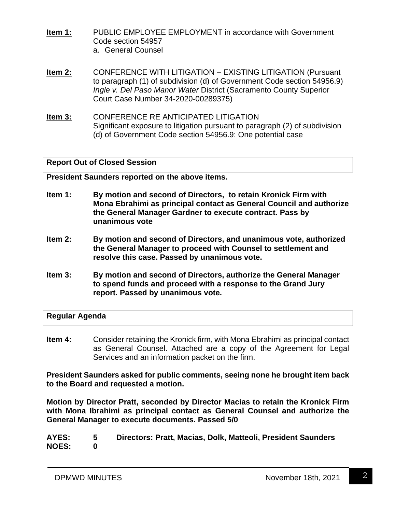- **Item 1:** PUBLIC EMPLOYEE EMPLOYMENT in accordance with Government Code section 54957 a. General Counsel
- **Item 2:** CONFERENCE WITH LITIGATION EXISTING LITIGATION (Pursuant to paragraph (1) of subdivision (d) of Government Code section 54956.9) *Ingle v. Del Paso Manor Water* District (Sacramento County Superior Court Case Number 34-2020-00289375)
- **Item 3:** CONFERENCE RE ANTICIPATED LITIGATION Significant exposure to litigation pursuant to paragraph (2) of subdivision (d) of Government Code section 54956.9: One potential case

## **Report Out of Closed Session**

**President Saunders reported on the above items.** 

- **Item 1: By motion and second of Directors, to retain Kronick Firm with Mona Ebrahimi as principal contact as General Council and authorize the General Manager Gardner to execute contract. Pass by unanimous vote**
- **Item 2: By motion and second of Directors, and unanimous vote, authorized the General Manager to proceed with Counsel to settlement and resolve this case. Passed by unanimous vote.**
- **Item 3: By motion and second of Directors, authorize the General Manager to spend funds and proceed with a response to the Grand Jury report. Passed by unanimous vote.**

#### **Regular Agenda**

**Item 4:** Consider retaining the Kronick firm, with Mona Ebrahimi as principal contact as General Counsel. Attached are a copy of the Agreement for Legal Services and an information packet on the firm.

**President Saunders asked for public comments, seeing none he brought item back to the Board and requested a motion.**

**Motion by Director Pratt, seconded by Director Macias to retain the Kronick Firm with Mona Ibrahimi as principal contact as General Counsel and authorize the General Manager to execute documents. Passed 5/0**

**AYES: 5 Directors: Pratt, Macias, Dolk, Matteoli, President Saunders NOES: 0**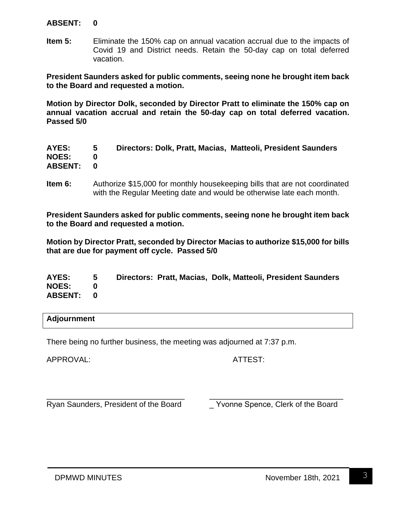## **ABSENT: 0**

**Item 5:** Eliminate the 150% cap on annual vacation accrual due to the impacts of Covid 19 and District needs. Retain the 50-day cap on total deferred vacation.

**President Saunders asked for public comments, seeing none he brought item back to the Board and requested a motion.**

**Motion by Director Dolk, seconded by Director Pratt to eliminate the 150% cap on annual vacation accrual and retain the 50-day cap on total deferred vacation. Passed 5/0**

| AYES:          | - 5 | Directors: Dolk, Pratt, Macias, Matteoli, President Saunders |  |
|----------------|-----|--------------------------------------------------------------|--|
| <b>NOES:</b>   |     |                                                              |  |
| <b>ABSENT:</b> |     |                                                              |  |

**Item 6:** Authorize \$15,000 for monthly housekeeping bills that are not coordinated with the Regular Meeting date and would be otherwise late each month.

**President Saunders asked for public comments, seeing none he brought item back to the Board and requested a motion.**

**Motion by Director Pratt, seconded by Director Macias to authorize \$15,000 for bills that are due for payment off cycle. Passed 5/0**

**AYES: 5 Directors: Pratt, Macias, Dolk, Matteoli, President Saunders NOES: 0 ABSENT: 0**

| <b>Adjournment</b> |  |  |
|--------------------|--|--|
|                    |  |  |

There being no further business, the meeting was adjourned at 7:37 p.m.

APPROVAL: ATTEST:

\_\_\_\_\_\_\_\_\_\_\_\_\_\_\_\_\_\_\_\_\_\_\_\_\_\_\_\_\_\_\_\_ Ryan Saunders, President of the Board

\_\_\_\_\_\_\_\_\_\_\_\_\_\_\_\_\_\_\_\_\_\_\_\_\_\_\_\_\_\_\_ Yvonne Spence, Clerk of the Board